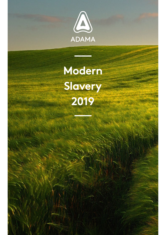

 **Modern Slavery 2019**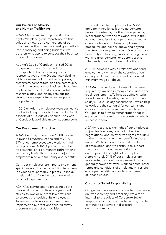### **Our Policies on Slavery** and Human Trafficking

ADAMA is committed to protecting human rights. We place great importance on this value and view it as a cornerstone of our activities. Furthermore, we invest areat efforts into identifying and doing business with partners who aspire to conduct their business in a similar manner

Adama's Code of Conduct (revised 2018) is a guide to the ethical standards that are expected of all our employees as representatives of the Group, when dealing with governmental authorities, suppliers, customers, competitors, and the community in which we conduct our business. It outlines our business, social, and environmental responsibilities, and clearly sets out the standards we expect from our people and our partners.

In 2018 all Adama employees were trained via on-line training or face to face training in all aspects of our Code of Conduct. The Code of Conduct is available at www adama.com

# **Practices Practices**

ADAMA employs more than 6,600 people in over 45 countries. At the end of 2017, time positions. ADAMA prefers to employ 97% of our employees were working in fullits personnel on a permanent rather than a temporary basis. Thus, the vast majority of employees receive a full salary and benefits.

Contract employees are hired to implement special seasonal projects by filling temporary job vacancies, primarily in plants (in India, Israel, and Brazil) and in accordance with seasonal requirements.

ADAMA is committed to providing a safe work environment to its employees, and strictly follows all relevant law provisions to protect the health of its employees. To ensure a safe work environment, we implement a relevant and tailored safety program in each of our facilities

The conditions for employment at ADAMA are determined by collective agreements, personal contracts, or other arrangements, in accordance with the relevant laws in the various countries of our operations. In many cases, we have established employment procedures and policies above and beyond the standards required by law. We do not use working arrangements, or apprenticeship labor-only contracting, subcontracting, homeschemes to avoid employer obligations.

ADAMA complies with all relevant labor and employment laws in all the countries of our activity, including the payment of required minimum wage or above.

ADAMA provides its employees all the benefits required by law and in many cases - above the legal requirements. To help us define criteria for salaries and benefits, we conduct annual salary surveys (salary benchmarks), which help us evaluate the standard for our terms and conditions versus the market in each country. Our goal is to provide remuneration that is equivalent to those in local markets, or which surpasses them.

ADAMA recognizes the right of our employees to join trade unions, conduct collective negotiations, and enjoy all the rights available to them through their membership in those unions. We have never restricted freedom of association, and we continue to support the process of collective negotiations, and to protect the rights of all employees. Approximately 34% of our employees are represented by collective agreements which generally cover pay rates, working hours, other terms and conditions of employment, certain employee benefits, and orderly settlement of labor disputes.

# **Corporate Social Responsibility**

Our quiding principles in corporate governance are transparency and simplicity. We aim to internalize the values of Corporate Social Responsibility in our corporate culture, and to continue to persevere in disclosure and transparency.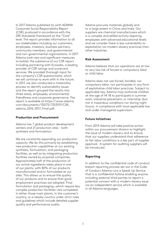In 2017 Adama published its sixth ADAMA Corporate Social Responsibility Report (CSR) produced in accordance with the GRI Standards framework at the "Core" level. The report provides information to all our stakeholders including our customers, employees, investors, business partners, community members, and governmental and non-governmental organizations. In 2017 Adama took new and significant measures to bolster the substance of our CSR report including partnering with Ecovadis, a leading provider of CSR ratings and scorecard services. We provided thorough input for the company's CSR questionnaire, which we will continue to work with in the future. In 2017, we also conducted a materiality process to identify sustainability issues and the report grouped the results into three areas, employees, environmental friendliness and corporate governance. The report is available at https://www.adama. com/documents/130172/7253197/CSR adama\_2016-2017\_Final.pdf.

### **Production and Procurement**

Adama has 7 global product development centers and 21 production sites - both synthesis and formulation.

We are constantly expanding our production capacity. We do this primarily by establishing new production capabilities at our existing synthesis, formulation, and packaging facilities, as well as by integrating production facilities owned by acquired companies. Approximately half of the production of our active ingredients takes place in one of our plants, with 80% of our products manufactured and/or formulated at our sites. This allows us to ensure the quality of our products and to ensure that good employment practices are adopted. Final formulation and packaging-which require less complex production facilities-are completed in either those main plants, in the customer's country, or a nearby country under strict rules and quidelines which include detailed supplier quality and performance audits.

Adama procures materials globally and to a large extent in China and India. Our suppliers are chemical manufacturers which is a complex and skilled activity requiring employees with advanced educational levels and we consider there is less vulnerability to exploitation via modern slavery practices than other industries.

### **Assessment Risk**

Adama believes that our operations are at low to very low risk of forced or compulsory labor or child labor.

Adama does not use forced, bonded, nor compulsory labor, nor participates in any form of exploitative child labor practices. Subject to applicable law, Adama may authorize children at the age of 14-18 to participate in summer work, industrial placement, or internship (but not in hazardous conditions nor during night hours), in compliance with local applicable law and under managerial supervision.

# **Future Initiatives**

From 2019 Adama will take positive action within our procurement division to highlight the issue of modern slavery and to ensure that our suppliers understand that adherence to fair labor conditions is a key part of supplier approval. A system for auditing suppliers will be introduced.

#### **Reporting**

In addition to the confidential code of conduct breach reporting process set out in the Code of Conduct Adama runs a Speak Up Service that is a confidential hotline enabling anyone including external third parties to report a potential concern with a modern slavery issue via an independent service which is available in all Adama languages.